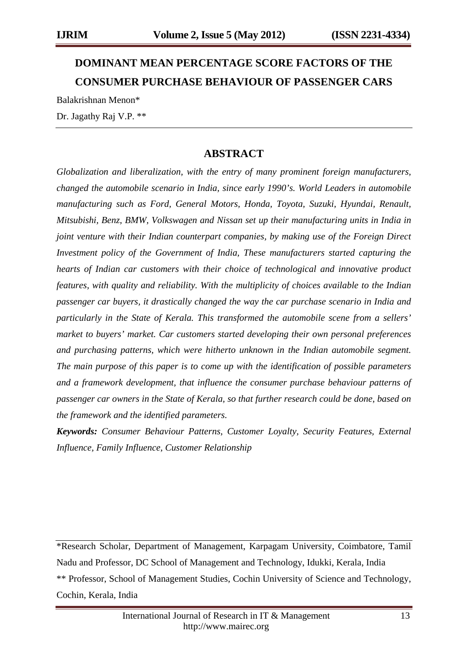# **DOMINANT MEAN PERCENTAGE SCORE FACTORS OF THE CONSUMER PURCHASE BEHAVIOUR OF PASSENGER CARS**

Balakrishnan Menon\*

Dr. Jagathy Raj V.P. \*\*

# **ABSTRACT**

*Globalization and liberalization, with the entry of many prominent foreign manufacturers, changed the automobile scenario in India, since early 1990's. World Leaders in automobile manufacturing such as Ford, General Motors, Honda, Toyota, Suzuki, Hyundai, Renault, Mitsubishi, Benz, BMW, Volkswagen and Nissan set up their manufacturing units in India in joint venture with their Indian counterpart companies, by making use of the Foreign Direct Investment policy of the Government of India, These manufacturers started capturing the hearts of Indian car customers with their choice of technological and innovative product features, with quality and reliability. With the multiplicity of choices available to the Indian passenger car buyers, it drastically changed the way the car purchase scenario in India and particularly in the State of Kerala. This transformed the automobile scene from a sellers' market to buyers' market. Car customers started developing their own personal preferences and purchasing patterns, which were hitherto unknown in the Indian automobile segment. The main purpose of this paper is to come up with the identification of possible parameters and a framework development, that influence the consumer purchase behaviour patterns of passenger car owners in the State of Kerala, so that further research could be done, based on the framework and the identified parameters.*

*Keywords: Consumer Behaviour Patterns, Customer Loyalty, Security Features, External Influence, Family Influence, Customer Relationship*

\*Research Scholar, Department of Management, Karpagam University, Coimbatore, Tamil Nadu and Professor, DC School of Management and Technology, Idukki, Kerala, India \*\* Professor, School of Management Studies, Cochin University of Science and Technology, Cochin, Kerala, India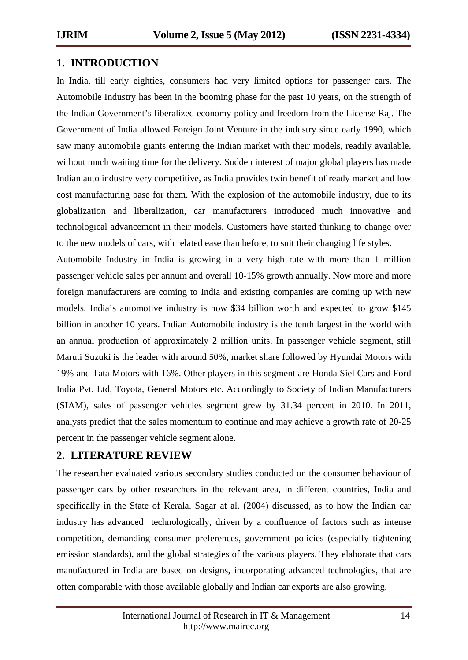## **1. INTRODUCTION**

In India, till early eighties, consumers had very limited options for passenger cars. The Automobile Industry has been in the booming phase for the past 10 years, on the strength of the Indian Government's liberalized economy policy and freedom from the License Raj. The Government of India allowed Foreign Joint Venture in the industry since early 1990, which saw many automobile giants entering the Indian market with their models, readily available, without much waiting time for the delivery. Sudden interest of major global players has made Indian auto industry very competitive, as India provides twin benefit of ready market and low cost manufacturing base for them. With the explosion of the automobile industry, due to its globalization and liberalization, car manufacturers introduced much innovative and technological advancement in their models. Customers have started thinking to change over to the new models of cars, with related ease than before, to suit their changing life styles.

Automobile Industry in India is growing in a very high rate with more than 1 million passenger vehicle sales per annum and overall 10-15% growth annually. Now more and more foreign manufacturers are coming to India and existing companies are coming up with new models. India's automotive industry is now \$34 billion worth and expected to grow \$145 billion in another 10 years. Indian Automobile industry is the tenth largest in the world with an annual production of approximately 2 million units. In passenger vehicle segment, still Maruti Suzuki is the leader with around 50%, market share followed by Hyundai Motors with 19% and Tata Motors with 16%. Other players in this segment are Honda Siel Cars and Ford India Pvt. Ltd, Toyota, General Motors etc. Accordingly to Society of Indian Manufacturers (SIAM), sales of passenger vehicles segment grew by 31.34 percent in 2010. In 2011, analysts predict that the sales momentum to continue and may achieve a growth rate of 20-25 percent in the passenger vehicle segment alone.

# **2. LITERATURE REVIEW**

The researcher evaluated various secondary studies conducted on the consumer behaviour of passenger cars by other researchers in the relevant area, in different countries, India and specifically in the State of Kerala. Sagar at al. (2004) discussed, as to how the Indian car industry has advanced technologically, driven by a confluence of factors such as intense competition, demanding consumer preferences, government policies (especially tightening emission standards), and the global strategies of the various players. They elaborate that cars manufactured in India are based on designs, incorporating advanced technologies, that are often comparable with those available globally and Indian car exports are also growing.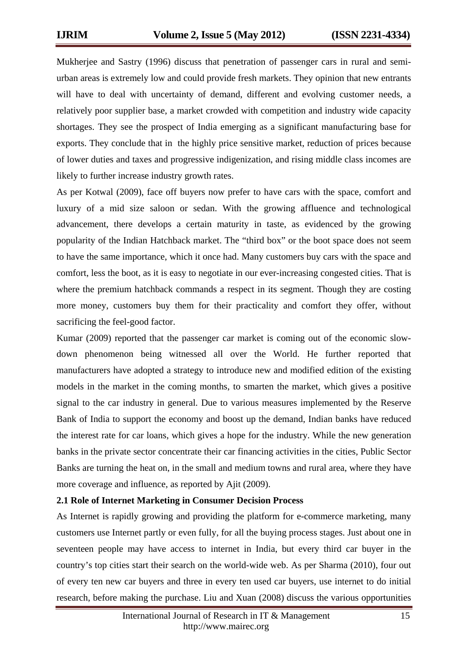Mukherjee and Sastry (1996) discuss that penetration of passenger cars in rural and semiurban areas is extremely low and could provide fresh markets. They opinion that new entrants will have to deal with uncertainty of demand, different and evolving customer needs, a relatively poor supplier base, a market crowded with competition and industry wide capacity shortages. They see the prospect of India emerging as a significant manufacturing base for exports. They conclude that in the highly price sensitive market, reduction of prices because of lower duties and taxes and progressive indigenization, and rising middle class incomes are likely to further increase industry growth rates.

As per Kotwal (2009), face off buyers now prefer to have cars with the space, comfort and luxury of a mid size saloon or sedan. With the growing affluence and technological advancement, there develops a certain maturity in taste, as evidenced by the growing popularity of the Indian Hatchback market. The "third box" or the boot space does not seem to have the same importance, which it once had. Many customers buy cars with the space and comfort, less the boot, as it is easy to negotiate in our ever-increasing congested cities. That is where the premium hatchback commands a respect in its segment. Though they are costing more money, customers buy them for their practicality and comfort they offer, without sacrificing the feel-good factor.

Kumar (2009) reported that the passenger car market is coming out of the economic slowdown phenomenon being witnessed all over the World. He further reported that manufacturers have adopted a strategy to introduce new and modified edition of the existing models in the market in the coming months, to smarten the market, which gives a positive signal to the car industry in general. Due to various measures implemented by the Reserve Bank of India to support the economy and boost up the demand, Indian banks have reduced the interest rate for car loans, which gives a hope for the industry. While the new generation banks in the private sector concentrate their car financing activities in the cities, Public Sector Banks are turning the heat on, in the small and medium towns and rural area, where they have more coverage and influence, as reported by Ajit (2009).

#### **2.1 Role of Internet Marketing in Consumer Decision Process**

As Internet is rapidly growing and providing the platform for e-commerce marketing, many customers use Internet partly or even fully, for all the buying process stages. Just about one in seventeen people may have access to internet in India, but every third car buyer in the country's top cities start their search on the world-wide web. As per Sharma (2010), four out of every ten new car buyers and three in every ten used car buyers, use internet to do initial research, before making the purchase. Liu and Xuan (2008) discuss the various opportunities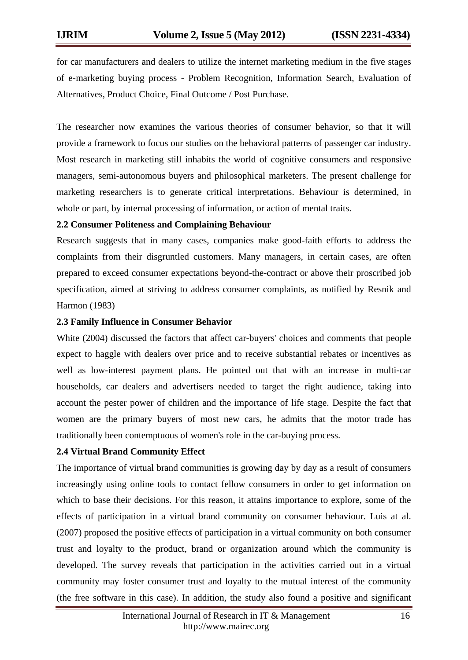for car manufacturers and dealers to utilize the internet marketing medium in the five stages of e-marketing buying process - Problem Recognition, Information Search, Evaluation of Alternatives, Product Choice, Final Outcome / Post Purchase.

The researcher now examines the various theories of consumer behavior, so that it will provide a framework to focus our studies on the behavioral patterns of passenger car industry. Most research in marketing still inhabits the world of cognitive consumers and responsive managers, semi-autonomous buyers and philosophical marketers. The present challenge for marketing researchers is to generate critical interpretations. Behaviour is determined, in whole or part, by internal processing of information, or action of mental traits.

#### **2.2 Consumer Politeness and Complaining Behaviour**

Research suggests that in many cases, companies make good-faith efforts to address the complaints from their disgruntled customers. Many managers, in certain cases, are often prepared to exceed consumer expectations beyond-the-contract or above their proscribed job specification, aimed at striving to address consumer complaints, as notified by Resnik and Harmon (1983)

#### **2.3 Family Influence in Consumer Behavior**

White (2004) discussed the factors that affect car-buyers' choices and comments that people expect to haggle with dealers over price and to receive substantial rebates or incentives as well as low-interest payment plans. He pointed out that with an increase in multi-car households, car dealers and advertisers needed to target the right audience, taking into account the pester power of children and the importance of life stage. Despite the fact that women are the primary buyers of most new cars, he admits that the motor trade has traditionally been contemptuous of women's role in the car-buying process.

#### **2.4 Virtual Brand Community Effect**

The importance of virtual brand communities is growing day by day as a result of consumers increasingly using online tools to contact fellow consumers in order to get information on which to base their decisions. For this reason, it attains importance to explore, some of the effects of participation in a virtual brand community on consumer behaviour. Luis at al. (2007) proposed the positive effects of participation in a virtual community on both consumer trust and loyalty to the product, brand or organization around which the community is developed. The survey reveals that participation in the activities carried out in a virtual community may foster consumer trust and loyalty to the mutual interest of the community (the free software in this case). In addition, the study also found a positive and significant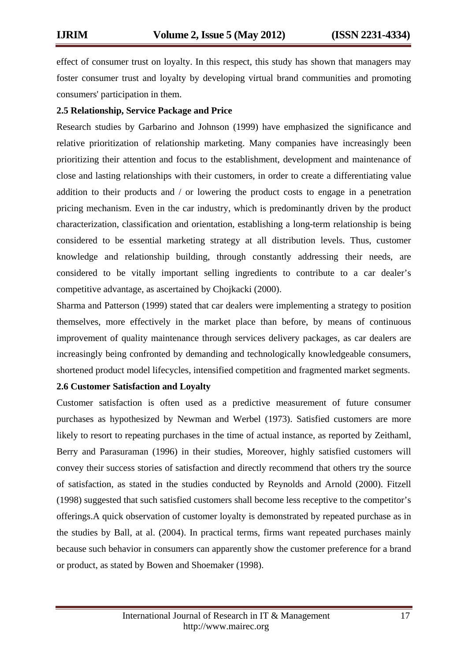effect of consumer trust on loyalty. In this respect, this study has shown that managers may foster consumer trust and loyalty by developing virtual brand communities and promoting consumers' participation in them.

#### **2.5 Relationship, Service Package and Price**

Research studies by Garbarino and Johnson (1999) have emphasized the significance and relative prioritization of relationship marketing. Many companies have increasingly been prioritizing their attention and focus to the establishment, development and maintenance of close and lasting relationships with their customers, in order to create a differentiating value addition to their products and / or lowering the product costs to engage in a penetration pricing mechanism. Even in the car industry, which is predominantly driven by the product characterization, classification and orientation, establishing a long-term relationship is being considered to be essential marketing strategy at all distribution levels. Thus, customer knowledge and relationship building, through constantly addressing their needs, are considered to be vitally important selling ingredients to contribute to a car dealer's competitive advantage, as ascertained by Chojkacki (2000).

Sharma and Patterson (1999) stated that car dealers were implementing a strategy to position themselves, more effectively in the market place than before, by means of continuous improvement of quality maintenance through services delivery packages, as car dealers are increasingly being confronted by demanding and technologically knowledgeable consumers, shortened product model lifecycles, intensified competition and fragmented market segments.

#### **2.6 Customer Satisfaction and Loyalty**

Customer satisfaction is often used as a predictive measurement of future consumer purchases as hypothesized by Newman and Werbel (1973). Satisfied customers are more likely to resort to repeating purchases in the time of actual instance, as reported by Zeithaml, Berry and Parasuraman (1996) in their studies, Moreover, highly satisfied customers will convey their success stories of satisfaction and directly recommend that others try the source of satisfaction, as stated in the studies conducted by Reynolds and Arnold (2000). Fitzell (1998) suggested that such satisfied customers shall become less receptive to the competitor's offerings.A quick observation of customer loyalty is demonstrated by repeated purchase as in the studies by Ball, at al. (2004). In practical terms, firms want repeated purchases mainly because such behavior in consumers can apparently show the customer preference for a brand or product, as stated by Bowen and Shoemaker (1998).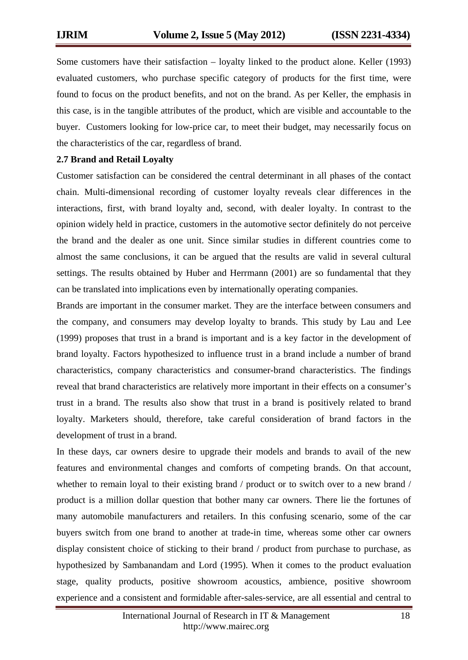Some customers have their satisfaction – loyalty linked to the product alone. Keller (1993) evaluated customers, who purchase specific category of products for the first time, were found to focus on the product benefits, and not on the brand. As per Keller, the emphasis in this case, is in the tangible attributes of the product, which are visible and accountable to the buyer. Customers looking for low-price car, to meet their budget, may necessarily focus on the characteristics of the car, regardless of brand.

#### **2.7 Brand and Retail Loyalty**

Customer satisfaction can be considered the central determinant in all phases of the contact chain. Multi-dimensional recording of customer loyalty reveals clear differences in the interactions, first, with brand loyalty and, second, with dealer loyalty. In contrast to the opinion widely held in practice, customers in the automotive sector definitely do not perceive the brand and the dealer as one unit. Since similar studies in different countries come to almost the same conclusions, it can be argued that the results are valid in several cultural settings. The results obtained by Huber and Herrmann (2001) are so fundamental that they can be translated into implications even by internationally operating companies.

Brands are important in the consumer market. They are the interface between consumers and the company, and consumers may develop loyalty to brands. This study by Lau and Lee (1999) proposes that trust in a brand is important and is a key factor in the development of brand loyalty. Factors hypothesized to influence trust in a brand include a number of brand characteristics, company characteristics and consumer-brand characteristics. The findings reveal that brand characteristics are relatively more important in their effects on a consumer's trust in a brand. The results also show that trust in a brand is positively related to brand loyalty. Marketers should, therefore, take careful consideration of brand factors in the development of trust in a brand.

In these days, car owners desire to upgrade their models and brands to avail of the new features and environmental changes and comforts of competing brands. On that account, whether to remain loyal to their existing brand / product or to switch over to a new brand / product is a million dollar question that bother many car owners. There lie the fortunes of many automobile manufacturers and retailers. In this confusing scenario, some of the car buyers switch from one brand to another at trade-in time, whereas some other car owners display consistent choice of sticking to their brand / product from purchase to purchase, as hypothesized by Sambanandam and Lord (1995). When it comes to the product evaluation stage, quality products, positive showroom acoustics, ambience, positive showroom experience and a consistent and formidable after-sales-service, are all essential and central to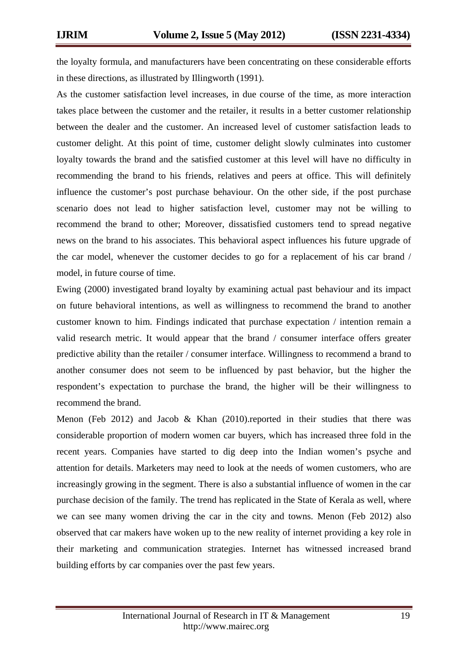the loyalty formula, and manufacturers have been concentrating on these considerable efforts in these directions, as illustrated by Illingworth (1991).

As the customer satisfaction level increases, in due course of the time, as more interaction takes place between the customer and the retailer, it results in a better customer relationship between the dealer and the customer. An increased level of customer satisfaction leads to customer delight. At this point of time, customer delight slowly culminates into customer loyalty towards the brand and the satisfied customer at this level will have no difficulty in recommending the brand to his friends, relatives and peers at office. This will definitely influence the customer's post purchase behaviour. On the other side, if the post purchase scenario does not lead to higher satisfaction level, customer may not be willing to recommend the brand to other; Moreover, dissatisfied customers tend to spread negative news on the brand to his associates. This behavioral aspect influences his future upgrade of the car model, whenever the customer decides to go for a replacement of his car brand / model, in future course of time.

Ewing (2000) investigated brand loyalty by examining actual past behaviour and its impact on future behavioral intentions, as well as willingness to recommend the brand to another customer known to him. Findings indicated that purchase expectation / intention remain a valid research metric. It would appear that the brand / consumer interface offers greater predictive ability than the retailer / consumer interface. Willingness to recommend a brand to another consumer does not seem to be influenced by past behavior, but the higher the respondent's expectation to purchase the brand, the higher will be their willingness to recommend the brand.

Menon (Feb 2012) and Jacob  $\&$  Khan (2010).reported in their studies that there was considerable proportion of modern women car buyers, which has increased three fold in the recent years. Companies have started to dig deep into the Indian women's psyche and attention for details. Marketers may need to look at the needs of women customers, who are increasingly growing in the segment. There is also a substantial influence of women in the car purchase decision of the family. The trend has replicated in the State of Kerala as well, where we can see many women driving the car in the city and towns. Menon (Feb 2012) also observed that car makers have woken up to the new reality of internet providing a key role in their marketing and communication strategies. Internet has witnessed increased brand building efforts by car companies over the past few years.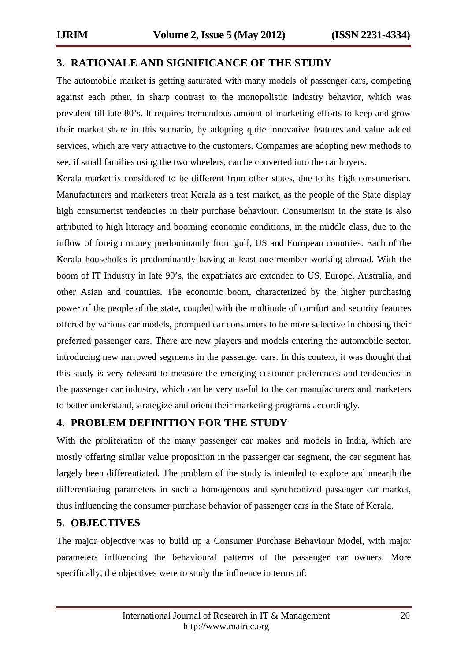## **3. RATIONALE AND SIGNIFICANCE OF THE STUDY**

The automobile market is getting saturated with many models of passenger cars, competing against each other, in sharp contrast to the monopolistic industry behavior, which was prevalent till late 80's. It requires tremendous amount of marketing efforts to keep and grow their market share in this scenario, by adopting quite innovative features and value added services, which are very attractive to the customers. Companies are adopting new methods to see, if small families using the two wheelers, can be converted into the car buyers.

Kerala market is considered to be different from other states, due to its high consumerism. Manufacturers and marketers treat Kerala as a test market, as the people of the State display high consumerist tendencies in their purchase behaviour. Consumerism in the state is also attributed to high literacy and booming economic conditions, in the middle class, due to the inflow of foreign money predominantly from gulf, US and European countries. Each of the Kerala households is predominantly having at least one member working abroad. With the boom of IT Industry in late 90's, the expatriates are extended to US, Europe, Australia, and other Asian and countries. The economic boom, characterized by the higher purchasing power of the people of the state, coupled with the multitude of comfort and security features offered by various car models, prompted car consumers to be more selective in choosing their preferred passenger cars. There are new players and models entering the automobile sector, introducing new narrowed segments in the passenger cars. In this context, it was thought that this study is very relevant to measure the emerging customer preferences and tendencies in the passenger car industry, which can be very useful to the car manufacturers and marketers to better understand, strategize and orient their marketing programs accordingly.

#### **4. PROBLEM DEFINITION FOR THE STUDY**

With the proliferation of the many passenger car makes and models in India, which are mostly offering similar value proposition in the passenger car segment, the car segment has largely been differentiated. The problem of the study is intended to explore and unearth the differentiating parameters in such a homogenous and synchronized passenger car market, thus influencing the consumer purchase behavior of passenger cars in the State of Kerala.

# **5. OBJECTIVES**

The major objective was to build up a Consumer Purchase Behaviour Model, with major parameters influencing the behavioural patterns of the passenger car owners. More specifically, the objectives were to study the influence in terms of: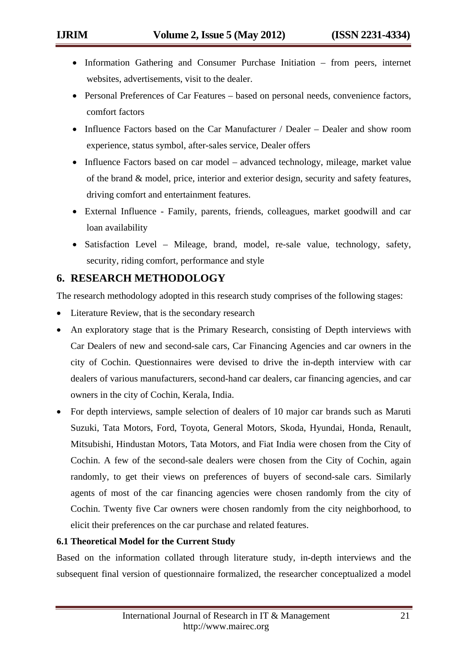- Information Gathering and Consumer Purchase Initiation from peers, internet websites, advertisements, visit to the dealer.
- Personal Preferences of Car Features based on personal needs, convenience factors, comfort factors
- Influence Factors based on the Car Manufacturer / Dealer Dealer and show room experience, status symbol, after-sales service, Dealer offers
- Influence Factors based on car model advanced technology, mileage, market value of the brand & model, price, interior and exterior design, security and safety features, driving comfort and entertainment features.
- External Influence Family, parents, friends, colleagues, market goodwill and car loan availability
- Satisfaction Level Mileage, brand, model, re-sale value, technology, safety, security, riding comfort, performance and style

# **6. RESEARCH METHODOLOGY**

The research methodology adopted in this research study comprises of the following stages:

- Literature Review, that is the secondary research
- An exploratory stage that is the Primary Research, consisting of Depth interviews with Car Dealers of new and second-sale cars, Car Financing Agencies and car owners in the city of Cochin. Questionnaires were devised to drive the in-depth interview with car dealers of various manufacturers, second-hand car dealers, car financing agencies, and car owners in the city of Cochin, Kerala, India.
- For depth interviews, sample selection of dealers of 10 major car brands such as Maruti Suzuki, Tata Motors, Ford, Toyota, General Motors, Skoda, Hyundai, Honda, Renault, Mitsubishi, Hindustan Motors, Tata Motors, and Fiat India were chosen from the City of Cochin. A few of the second-sale dealers were chosen from the City of Cochin, again randomly, to get their views on preferences of buyers of second-sale cars. Similarly agents of most of the car financing agencies were chosen randomly from the city of Cochin. Twenty five Car owners were chosen randomly from the city neighborhood, to elicit their preferences on the car purchase and related features.

#### **6.1 Theoretical Model for the Current Study**

Based on the information collated through literature study, in-depth interviews and the subsequent final version of questionnaire formalized, the researcher conceptualized a model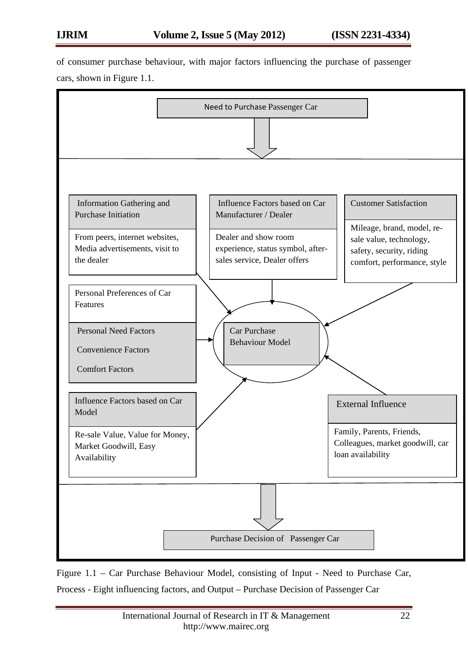of consumer purchase behaviour, with major factors influencing the purchase of passenger cars, shown in Figure 1.1.



Figure 1.1 – Car Purchase Behaviour Model, consisting of Input - Need to Purchase Car, Process - Eight influencing factors, and Output – Purchase Decision of Passenger Car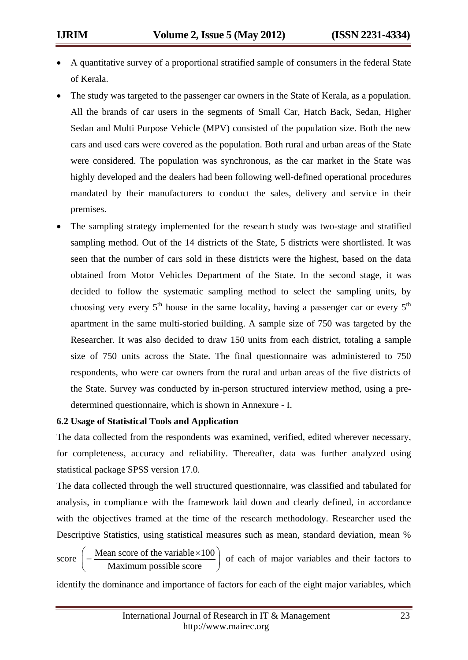- A quantitative survey of a proportional stratified sample of consumers in the federal State of Kerala.
- The study was targeted to the passenger car owners in the State of Kerala, as a population. All the brands of car users in the segments of Small Car, Hatch Back, Sedan, Higher Sedan and Multi Purpose Vehicle (MPV) consisted of the population size. Both the new cars and used cars were covered as the population. Both rural and urban areas of the State were considered. The population was synchronous, as the car market in the State was highly developed and the dealers had been following well-defined operational procedures mandated by their manufacturers to conduct the sales, delivery and service in their premises.
- The sampling strategy implemented for the research study was two-stage and stratified sampling method. Out of the 14 districts of the State, 5 districts were shortlisted. It was seen that the number of cars sold in these districts were the highest, based on the data obtained from Motor Vehicles Department of the State. In the second stage, it was decided to follow the systematic sampling method to select the sampling units, by choosing very every  $5<sup>th</sup>$  house in the same locality, having a passenger car or every  $5<sup>th</sup>$ apartment in the same multi-storied building. A sample size of 750 was targeted by the Researcher. It was also decided to draw 150 units from each district, totaling a sample size of 750 units across the State. The final questionnaire was administered to 750 respondents, who were car owners from the rural and urban areas of the five districts of the State. Survey was conducted by in-person structured interview method, using a predetermined questionnaire, which is shown in Annexure - I.

#### **6.2 Usage of Statistical Tools and Application**

The data collected from the respondents was examined, verified, edited wherever necessary, for completeness, accuracy and reliability. Thereafter, data was further analyzed using statistical package SPSS version 17.0.

The data collected through the well structured questionnaire, was classified and tabulated for analysis, in compliance with the framework laid down and clearly defined, in accordance with the objectives framed at the time of the research methodology. Researcher used the Descriptive Statistics, using statistical measures such as mean, standard deviation, mean %

score  $=\frac{\text{Mean score of the variable} \times 100}{\text{Mean rate}}$  $\left( = \frac{\text{Mean score of the variable} \times 100}{\text{Maximum possible score}} \right)$  $\left\langle \right|$  Maximum possible score  $\left| \right|$ of each of major variables and their factors to

identify the dominance and importance of factors for each of the eight major variables, which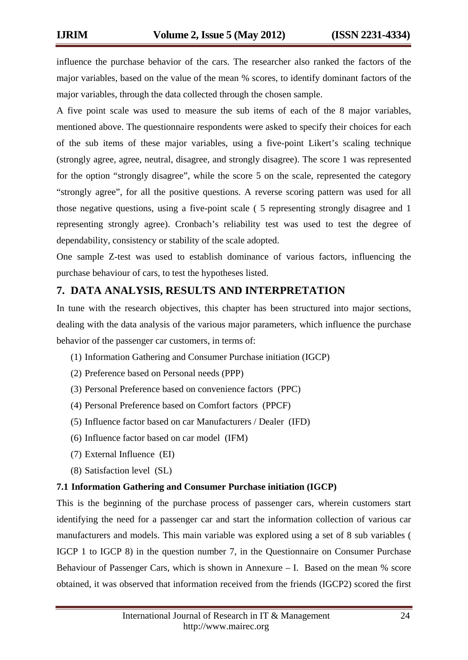influence the purchase behavior of the cars. The researcher also ranked the factors of the major variables, based on the value of the mean % scores, to identify dominant factors of the major variables, through the data collected through the chosen sample.

A five point scale was used to measure the sub items of each of the 8 major variables, mentioned above. The questionnaire respondents were asked to specify their choices for each of the sub items of these major variables, using a five-point Likert's scaling technique (strongly agree, agree, neutral, disagree, and strongly disagree). The score 1 was represented for the option "strongly disagree", while the score 5 on the scale, represented the category "strongly agree", for all the positive questions. A reverse scoring pattern was used for all those negative questions, using a five-point scale ( 5 representing strongly disagree and 1 representing strongly agree). Cronbach's reliability test was used to test the degree of dependability, consistency or stability of the scale adopted.

One sample Z-test was used to establish dominance of various factors, influencing the purchase behaviour of cars, to test the hypotheses listed.

# **7. DATA ANALYSIS, RESULTS AND INTERPRETATION**

In tune with the research objectives, this chapter has been structured into major sections, dealing with the data analysis of the various major parameters, which influence the purchase behavior of the passenger car customers, in terms of:

- (1) Information Gathering and Consumer Purchase initiation (IGCP)
- (2) Preference based on Personal needs (PPP)
- (3) Personal Preference based on convenience factors (PPC)
- (4) Personal Preference based on Comfort factors (PPCF)
- (5) Influence factor based on car Manufacturers / Dealer (IFD)
- (6) Influence factor based on car model (IFM)
- (7) External Influence (EI)
- (8) Satisfaction level (SL)

#### **7.1 Information Gathering and Consumer Purchase initiation (IGCP)**

This is the beginning of the purchase process of passenger cars, wherein customers start identifying the need for a passenger car and start the information collection of various car manufacturers and models. This main variable was explored using a set of 8 sub variables ( IGCP 1 to IGCP 8) in the question number 7, in the Questionnaire on Consumer Purchase Behaviour of Passenger Cars, which is shown in Annexure – I. Based on the mean % score obtained, it was observed that information received from the friends (IGCP2) scored the first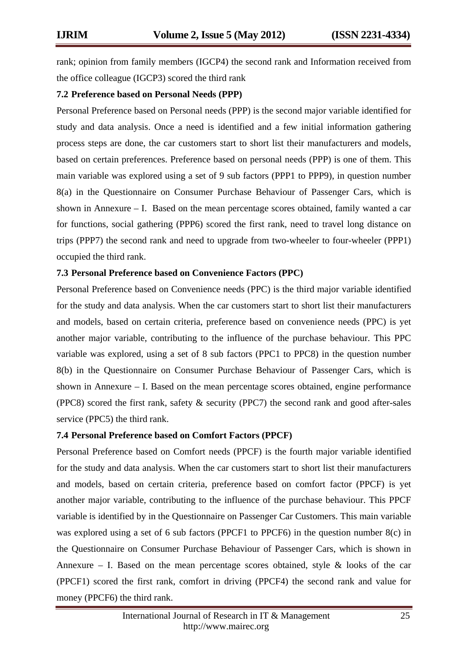rank; opinion from family members (IGCP4) the second rank and Information received from the office colleague (IGCP3) scored the third rank

#### **7.2 Preference based on Personal Needs (PPP)**

Personal Preference based on Personal needs (PPP) is the second major variable identified for study and data analysis. Once a need is identified and a few initial information gathering process steps are done, the car customers start to short list their manufacturers and models, based on certain preferences. Preference based on personal needs (PPP) is one of them. This main variable was explored using a set of 9 sub factors (PPP1 to PPP9), in question number 8(a) in the Questionnaire on Consumer Purchase Behaviour of Passenger Cars, which is shown in Annexure – I. Based on the mean percentage scores obtained, family wanted a car for functions, social gathering (PPP6) scored the first rank, need to travel long distance on trips (PPP7) the second rank and need to upgrade from two-wheeler to four-wheeler (PPP1) occupied the third rank.

#### **7.3 Personal Preference based on Convenience Factors (PPC)**

Personal Preference based on Convenience needs (PPC) is the third major variable identified for the study and data analysis. When the car customers start to short list their manufacturers and models, based on certain criteria, preference based on convenience needs (PPC) is yet another major variable, contributing to the influence of the purchase behaviour. This PPC variable was explored, using a set of 8 sub factors (PPC1 to PPC8) in the question number 8(b) in the Questionnaire on Consumer Purchase Behaviour of Passenger Cars, which is shown in Annexure – I. Based on the mean percentage scores obtained, engine performance (PPC8) scored the first rank, safety  $\&$  security (PPC7) the second rank and good after-sales service (PPC5) the third rank.

#### **7.4 Personal Preference based on Comfort Factors (PPCF)**

Personal Preference based on Comfort needs (PPCF) is the fourth major variable identified for the study and data analysis. When the car customers start to short list their manufacturers and models, based on certain criteria, preference based on comfort factor (PPCF) is yet another major variable, contributing to the influence of the purchase behaviour. This PPCF variable is identified by in the Questionnaire on Passenger Car Customers. This main variable was explored using a set of 6 sub factors (PPCF1 to PPCF6) in the question number 8(c) in the Questionnaire on Consumer Purchase Behaviour of Passenger Cars, which is shown in Annexure – I. Based on the mean percentage scores obtained, style  $\&$  looks of the car (PPCF1) scored the first rank, comfort in driving (PPCF4) the second rank and value for money (PPCF6) the third rank.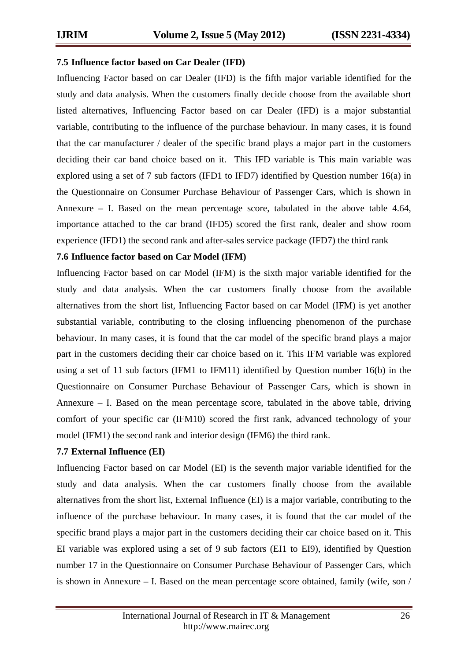#### **7.5 Influence factor based on Car Dealer (IFD)**

Influencing Factor based on car Dealer (IFD) is the fifth major variable identified for the study and data analysis. When the customers finally decide choose from the available short listed alternatives, Influencing Factor based on car Dealer (IFD) is a major substantial variable, contributing to the influence of the purchase behaviour. In many cases, it is found that the car manufacturer / dealer of the specific brand plays a major part in the customers deciding their car band choice based on it. This IFD variable is This main variable was explored using a set of 7 sub factors (IFD1 to IFD7) identified by Question number 16(a) in the Questionnaire on Consumer Purchase Behaviour of Passenger Cars, which is shown in Annexure – I. Based on the mean percentage score, tabulated in the above table 4.64, importance attached to the car brand (IFD5) scored the first rank, dealer and show room experience (IFD1) the second rank and after-sales service package (IFD7) the third rank

#### **7.6 Influence factor based on Car Model (IFM)**

Influencing Factor based on car Model (IFM) is the sixth major variable identified for the study and data analysis. When the car customers finally choose from the available alternatives from the short list, Influencing Factor based on car Model (IFM) is yet another substantial variable, contributing to the closing influencing phenomenon of the purchase behaviour. In many cases, it is found that the car model of the specific brand plays a major part in the customers deciding their car choice based on it. This IFM variable was explored using a set of 11 sub factors (IFM1 to IFM11) identified by Question number 16(b) in the Questionnaire on Consumer Purchase Behaviour of Passenger Cars, which is shown in Annexure – I. Based on the mean percentage score, tabulated in the above table, driving comfort of your specific car (IFM10) scored the first rank, advanced technology of your model (IFM1) the second rank and interior design (IFM6) the third rank.

#### **7.7 External Influence (EI)**

Influencing Factor based on car Model (EI) is the seventh major variable identified for the study and data analysis. When the car customers finally choose from the available alternatives from the short list, External Influence (EI) is a major variable, contributing to the influence of the purchase behaviour. In many cases, it is found that the car model of the specific brand plays a major part in the customers deciding their car choice based on it. This EI variable was explored using a set of 9 sub factors (EI1 to EI9), identified by Question number 17 in the Questionnaire on Consumer Purchase Behaviour of Passenger Cars, which is shown in Annexure – I. Based on the mean percentage score obtained, family (wife, son /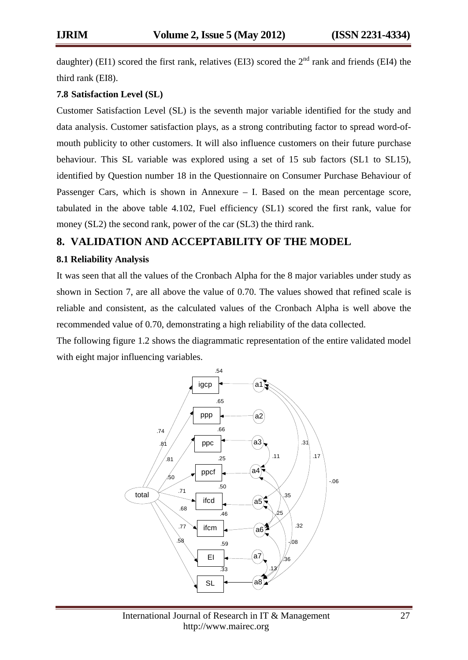daughter) (EI1) scored the first rank, relatives (EI3) scored the  $2<sup>nd</sup>$  rank and friends (EI4) the third rank (EI8).

#### **7.8 Satisfaction Level (SL)**

Customer Satisfaction Level (SL) is the seventh major variable identified for the study and data analysis. Customer satisfaction plays, as a strong contributing factor to spread word-ofmouth publicity to other customers. It will also influence customers on their future purchase behaviour. This SL variable was explored using a set of 15 sub factors (SL1 to SL15), identified by Question number 18 in the Questionnaire on Consumer Purchase Behaviour of Passenger Cars, which is shown in Annexure – I. Based on the mean percentage score, tabulated in the above table 4.102, Fuel efficiency (SL1) scored the first rank, value for money (SL2) the second rank, power of the car (SL3) the third rank.

### **8. VALIDATION AND ACCEPTABILITY OF THE MODEL**

#### **8.1 Reliability Analysis**

It was seen that all the values of the Cronbach Alpha for the 8 major variables under study as shown in Section 7, are all above the value of 0.70. The values showed that refined scale is reliable and consistent, as the calculated values of the Cronbach Alpha is well above the recommended value of 0.70, demonstrating a high reliability of the data collected.

The following figure 1.2 shows the diagrammatic representation of the entire validated model with eight major influencing variables.



International Journal of Research in IT & Management 27 http://www.mairec.org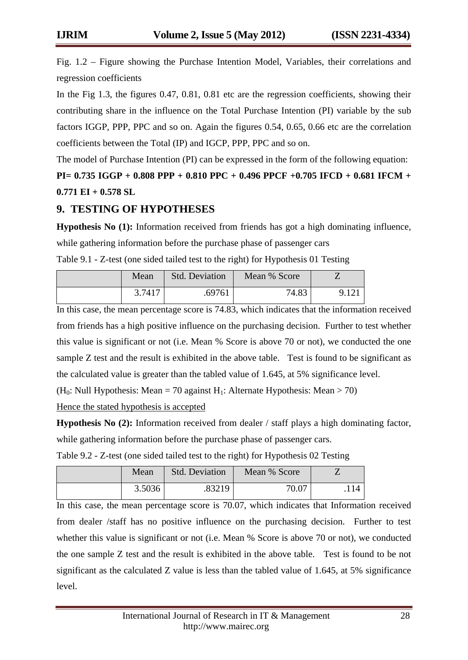Fig. 1.2 – Figure showing the Purchase Intention Model, Variables, their correlations and regression coefficients

In the Fig 1.3, the figures 0.47, 0.81, 0.81 etc are the regression coefficients, showing their contributing share in the influence on the Total Purchase Intention (PI) variable by the sub factors IGGP, PPP, PPC and so on. Again the figures 0.54, 0.65, 0.66 etc are the correlation coefficients between the Total (IP) and IGCP, PPP, PPC and so on.

The model of Purchase Intention (PI) can be expressed in the form of the following equation:

**PI= 0.735 IGGP + 0.808 PPP + 0.810 PPC + 0.496 PPCF +0.705 IFCD + 0.681 IFCM + 0.771 EI + 0.578 SL**

### **9. TESTING OF HYPOTHESES**

**Hypothesis No (1):** Information received from friends has got a high dominating influence, while gathering information before the purchase phase of passenger cars

| Mean   | <b>Std. Deviation</b> | Mean % Score |       |
|--------|-----------------------|--------------|-------|
| 3.7417 | .69761                | 74.83        | 9.121 |

Table 9.1 - Z-test (one sided tailed test to the right) for Hypothesis 01 Testing

In this case, the mean percentage score is 74.83, which indicates that the information received from friends has a high positive influence on the purchasing decision. Further to test whether this value is significant or not (i.e. Mean % Score is above 70 or not), we conducted the one sample Z test and the result is exhibited in the above table. Test is found to be significant as the calculated value is greater than the tabled value of 1.645, at 5% significance level.

(H<sub>0</sub>: Null Hypothesis: Mean = 70 against H<sub>1</sub>: Alternate Hypothesis: Mean > 70)

Hence the stated hypothesis is accepted

**Hypothesis No (2):** Information received from dealer / staff plays a high dominating factor, while gathering information before the purchase phase of passenger cars.

| Mean   | <b>Std. Deviation</b> | Mean % Score |     |
|--------|-----------------------|--------------|-----|
| 3.5036 | .83219                | 70.07        | 114 |

Table 9.2 - Z-test (one sided tailed test to the right) for Hypothesis 02 Testing

In this case, the mean percentage score is 70.07, which indicates that Information received from dealer /staff has no positive influence on the purchasing decision. Further to test whether this value is significant or not (i.e. Mean % Score is above 70 or not), we conducted the one sample Z test and the result is exhibited in the above table. Test is found to be not significant as the calculated Z value is less than the tabled value of 1.645, at 5% significance level.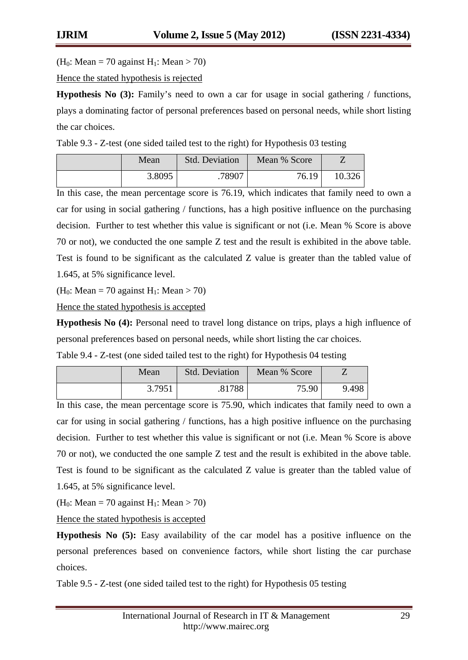(H<sub>0</sub>: Mean = 70 against H<sub>1</sub>: Mean > 70)

Hence the stated hypothesis is rejected

**Hypothesis No (3):** Family's need to own a car for usage in social gathering / functions, plays a dominating factor of personal preferences based on personal needs, while short listing the car choices.

Table 9.3 - Z-test (one sided tailed test to the right) for Hypothesis 03 testing

| Mean   | <b>Std. Deviation</b> | Mean % Score |        |
|--------|-----------------------|--------------|--------|
| 3.8095 | .78907                | 76.19        | 10.326 |

In this case, the mean percentage score is 76.19, which indicates that family need to own a car for using in social gathering / functions, has a high positive influence on the purchasing decision. Further to test whether this value is significant or not (i.e. Mean % Score is above 70 or not), we conducted the one sample Z test and the result is exhibited in the above table. Test is found to be significant as the calculated Z value is greater than the tabled value of 1.645, at 5% significance level.

(H<sub>0</sub>: Mean = 70 against H<sub>1</sub>: Mean > 70)

Hence the stated hypothesis is accepted

**Hypothesis No (4):** Personal need to travel long distance on trips, plays a high influence of personal preferences based on personal needs, while short listing the car choices.

Table 9.4 - Z-test (one sided tailed test to the right) for Hypothesis 04 testing

| Mean   | <b>Std. Deviation</b> | Mean % Score |       |
|--------|-----------------------|--------------|-------|
| 3.7951 | .81788                | 75.90        | 9.498 |

In this case, the mean percentage score is 75.90, which indicates that family need to own a car for using in social gathering / functions, has a high positive influence on the purchasing decision. Further to test whether this value is significant or not (i.e. Mean % Score is above 70 or not), we conducted the one sample Z test and the result is exhibited in the above table. Test is found to be significant as the calculated Z value is greater than the tabled value of 1.645, at 5% significance level.

(H<sub>0</sub>: Mean = 70 against H<sub>1</sub>: Mean > 70)

Hence the stated hypothesis is accepted

**Hypothesis No (5):** Easy availability of the car model has a positive influence on the personal preferences based on convenience factors, while short listing the car purchase choices.

Table 9.5 - Z-test (one sided tailed test to the right) for Hypothesis 05 testing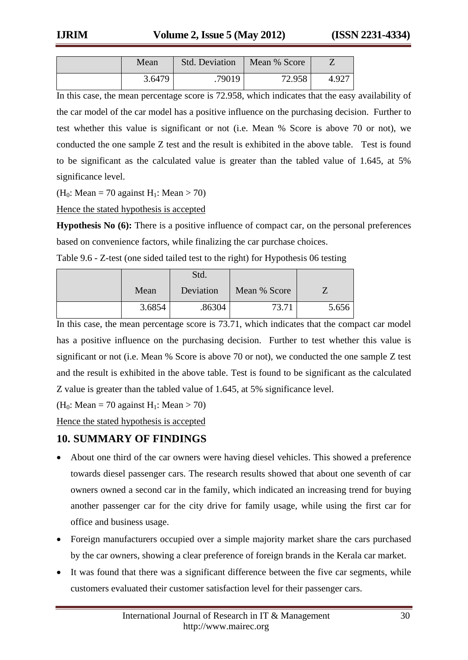| Mean   | <b>Std. Deviation</b> | Mean % Score |       |
|--------|-----------------------|--------------|-------|
| 3.6479 | .79019                | 72.958       | 4.927 |

In this case, the mean percentage score is 72.958, which indicates that the easy availability of the car model of the car model has a positive influence on the purchasing decision. Further to test whether this value is significant or not (i.e. Mean % Score is above 70 or not), we conducted the one sample Z test and the result is exhibited in the above table. Test is found to be significant as the calculated value is greater than the tabled value of 1.645, at 5% significance level.

(H<sub>0</sub>: Mean = 70 against H<sub>1</sub>: Mean > 70)

Hence the stated hypothesis is accepted

**Hypothesis No (6):** There is a positive influence of compact car, on the personal preferences based on convenience factors, while finalizing the car purchase choices.

|        | Std.      |              |       |
|--------|-----------|--------------|-------|
| Mean   | Deviation | Mean % Score |       |
| 3.6854 | .86304    | 73.71        | 5.656 |

In this case, the mean percentage score is 73.71, which indicates that the compact car model has a positive influence on the purchasing decision. Further to test whether this value is significant or not (i.e. Mean % Score is above 70 or not), we conducted the one sample Z test and the result is exhibited in the above table. Test is found to be significant as the calculated Z value is greater than the tabled value of 1.645, at 5% significance level.

(H<sub>0</sub>: Mean = 70 against H<sub>1</sub>: Mean > 70)

Hence the stated hypothesis is accepted

# **10. SUMMARY OF FINDINGS**

- About one third of the car owners were having diesel vehicles. This showed a preference towards diesel passenger cars. The research results showed that about one seventh of car owners owned a second car in the family, which indicated an increasing trend for buying another passenger car for the city drive for family usage, while using the first car for office and business usage.
- Foreign manufacturers occupied over a simple majority market share the cars purchased by the car owners, showing a clear preference of foreign brands in the Kerala car market.
- It was found that there was a significant difference between the five car segments, while customers evaluated their customer satisfaction level for their passenger cars.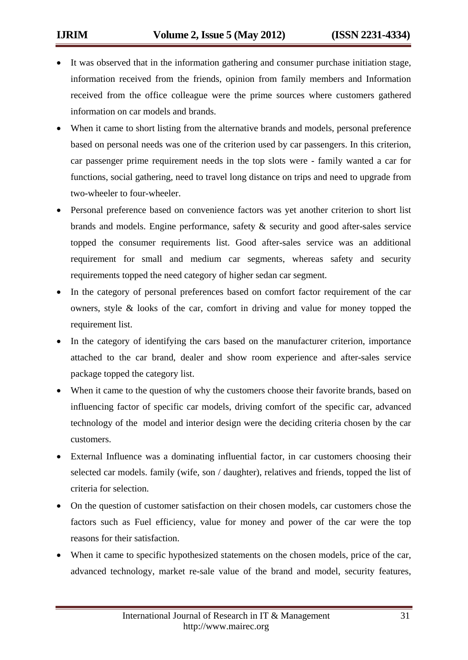- It was observed that in the information gathering and consumer purchase initiation stage, information received from the friends, opinion from family members and Information received from the office colleague were the prime sources where customers gathered information on car models and brands.
- When it came to short listing from the alternative brands and models, personal preference based on personal needs was one of the criterion used by car passengers. In this criterion, car passenger prime requirement needs in the top slots were - family wanted a car for functions, social gathering, need to travel long distance on trips and need to upgrade from two-wheeler to four-wheeler.
- Personal preference based on convenience factors was yet another criterion to short list brands and models. Engine performance, safety & security and good after-sales service topped the consumer requirements list. Good after-sales service was an additional requirement for small and medium car segments, whereas safety and security requirements topped the need category of higher sedan car segment.
- In the category of personal preferences based on comfort factor requirement of the car owners, style & looks of the car, comfort in driving and value for money topped the requirement list.
- In the category of identifying the cars based on the manufacturer criterion, importance attached to the car brand, dealer and show room experience and after-sales service package topped the category list.
- When it came to the question of why the customers choose their favorite brands, based on influencing factor of specific car models, driving comfort of the specific car, advanced technology of the model and interior design were the deciding criteria chosen by the car customers.
- External Influence was a dominating influential factor, in car customers choosing their selected car models. family (wife, son / daughter), relatives and friends, topped the list of criteria for selection.
- On the question of customer satisfaction on their chosen models, car customers chose the factors such as Fuel efficiency, value for money and power of the car were the top reasons for their satisfaction.
- When it came to specific hypothesized statements on the chosen models, price of the car, advanced technology, market re-sale value of the brand and model, security features,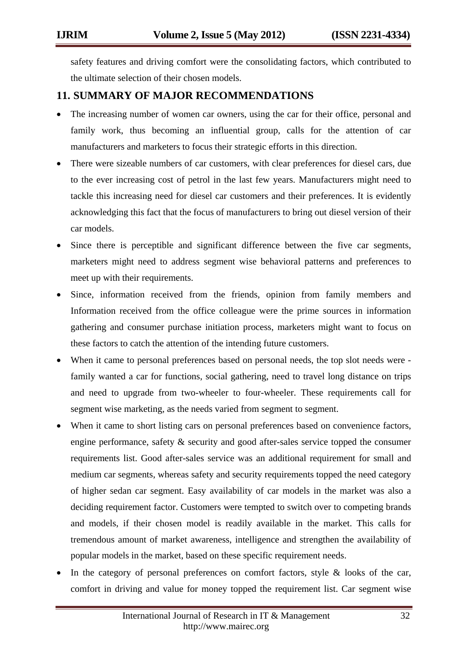safety features and driving comfort were the consolidating factors, which contributed to the ultimate selection of their chosen models.

# **11. SUMMARY OF MAJOR RECOMMENDATIONS**

- The increasing number of women car owners, using the car for their office, personal and family work, thus becoming an influential group, calls for the attention of car manufacturers and marketers to focus their strategic efforts in this direction.
- There were sizeable numbers of car customers, with clear preferences for diesel cars, due to the ever increasing cost of petrol in the last few years. Manufacturers might need to tackle this increasing need for diesel car customers and their preferences. It is evidently acknowledging this fact that the focus of manufacturers to bring out diesel version of their car models.
- Since there is perceptible and significant difference between the five car segments, marketers might need to address segment wise behavioral patterns and preferences to meet up with their requirements.
- Since, information received from the friends, opinion from family members and Information received from the office colleague were the prime sources in information gathering and consumer purchase initiation process, marketers might want to focus on these factors to catch the attention of the intending future customers.
- When it came to personal preferences based on personal needs, the top slot needs were family wanted a car for functions, social gathering, need to travel long distance on trips and need to upgrade from two-wheeler to four-wheeler. These requirements call for segment wise marketing, as the needs varied from segment to segment.
- When it came to short listing cars on personal preferences based on convenience factors, engine performance, safety & security and good after-sales service topped the consumer requirements list. Good after-sales service was an additional requirement for small and medium car segments, whereas safety and security requirements topped the need category of higher sedan car segment. Easy availability of car models in the market was also a deciding requirement factor. Customers were tempted to switch over to competing brands and models, if their chosen model is readily available in the market. This calls for tremendous amount of market awareness, intelligence and strengthen the availability of popular models in the market, based on these specific requirement needs.
- In the category of personal preferences on comfort factors, style  $\&$  looks of the car, comfort in driving and value for money topped the requirement list. Car segment wise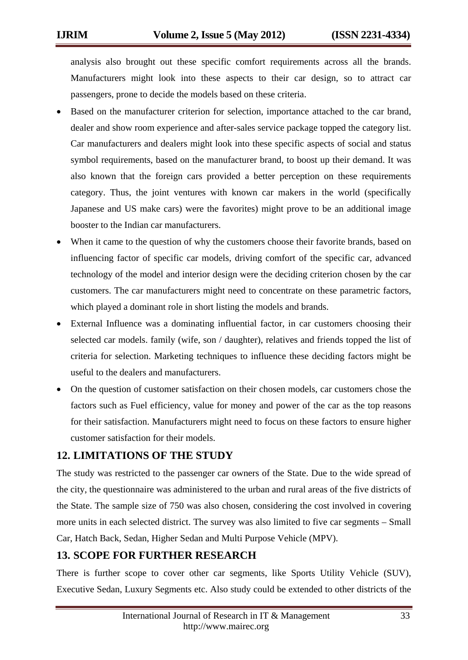analysis also brought out these specific comfort requirements across all the brands. Manufacturers might look into these aspects to their car design, so to attract car passengers, prone to decide the models based on these criteria.

- Based on the manufacturer criterion for selection, importance attached to the car brand, dealer and show room experience and after-sales service package topped the category list. Car manufacturers and dealers might look into these specific aspects of social and status symbol requirements, based on the manufacturer brand, to boost up their demand. It was also known that the foreign cars provided a better perception on these requirements category. Thus, the joint ventures with known car makers in the world (specifically Japanese and US make cars) were the favorites) might prove to be an additional image booster to the Indian car manufacturers.
- When it came to the question of why the customers choose their favorite brands, based on influencing factor of specific car models, driving comfort of the specific car, advanced technology of the model and interior design were the deciding criterion chosen by the car customers. The car manufacturers might need to concentrate on these parametric factors, which played a dominant role in short listing the models and brands.
- External Influence was a dominating influential factor, in car customers choosing their selected car models. family (wife, son / daughter), relatives and friends topped the list of criteria for selection. Marketing techniques to influence these deciding factors might be useful to the dealers and manufacturers.
- On the question of customer satisfaction on their chosen models, car customers chose the factors such as Fuel efficiency, value for money and power of the car as the top reasons for their satisfaction. Manufacturers might need to focus on these factors to ensure higher customer satisfaction for their models.

# **12. LIMITATIONS OF THE STUDY**

The study was restricted to the passenger car owners of the State. Due to the wide spread of the city, the questionnaire was administered to the urban and rural areas of the five districts of the State. The sample size of 750 was also chosen, considering the cost involved in covering more units in each selected district. The survey was also limited to five car segments – Small Car, Hatch Back, Sedan, Higher Sedan and Multi Purpose Vehicle (MPV).

# **13. SCOPE FOR FURTHER RESEARCH**

There is further scope to cover other car segments, like Sports Utility Vehicle (SUV), Executive Sedan, Luxury Segments etc. Also study could be extended to other districts of the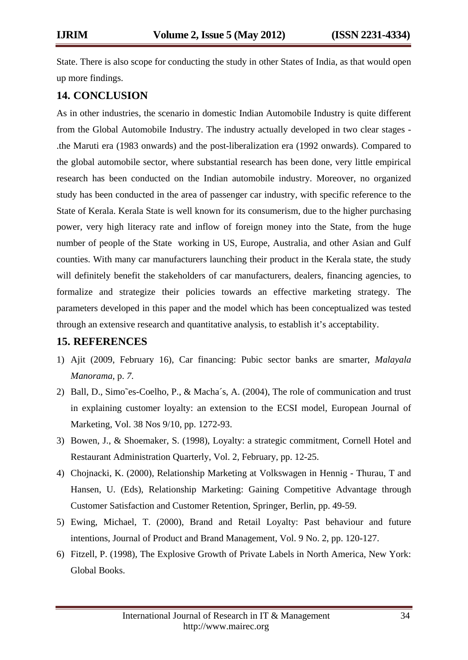State. There is also scope for conducting the study in other States of India, as that would open up more findings.

# **14. CONCLUSION**

As in other industries, the scenario in domestic Indian Automobile Industry is quite different from the Global Automobile Industry. The industry actually developed in two clear stages - .the Maruti era (1983 onwards) and the post-liberalization era (1992 onwards). Compared to the global automobile sector, where substantial research has been done, very little empirical research has been conducted on the Indian automobile industry. Moreover, no organized study has been conducted in the area of passenger car industry, with specific reference to the State of Kerala. Kerala State is well known for its consumerism, due to the higher purchasing power, very high literacy rate and inflow of foreign money into the State, from the huge number of people of the State working in US, Europe, Australia, and other Asian and Gulf counties. With many car manufacturers launching their product in the Kerala state, the study will definitely benefit the stakeholders of car manufacturers, dealers, financing agencies, to formalize and strategize their policies towards an effective marketing strategy. The parameters developed in this paper and the model which has been conceptualized was tested through an extensive research and quantitative analysis, to establish it's acceptability.

# **15. REFERENCES**

- 1) Ajit (2009, February 16), Car financing: Pubic sector banks are smarter, *Malayala Manorama,* p. *7*.
- 2) Ball, D., Simo˜es-Coelho, P., & Macha´s, A. (2004), The role of communication and trust in explaining customer loyalty: an extension to the ECSI model, European Journal of Marketing, Vol. 38 Nos 9/10, pp. 1272-93.
- 3) Bowen, J., & Shoemaker, S. (1998), Loyalty: a strategic commitment, Cornell Hotel and Restaurant Administration Quarterly, Vol. 2, February, pp. 12-25.
- 4) Chojnacki, K. (2000), Relationship Marketing at Volkswagen in Hennig Thurau, T and Hansen, U. (Eds), Relationship Marketing: Gaining Competitive Advantage through Customer Satisfaction and Customer Retention, Springer, Berlin, pp. 49-59.
- 5) Ewing, Michael, T. (2000), Brand and Retail Loyalty: Past behaviour and future intentions, Journal of Product and Brand Management, Vol. 9 No. 2, pp. 120-127.
- 6) Fitzell, P. (1998), The Explosive Growth of Private Labels in North America, New York: Global Books.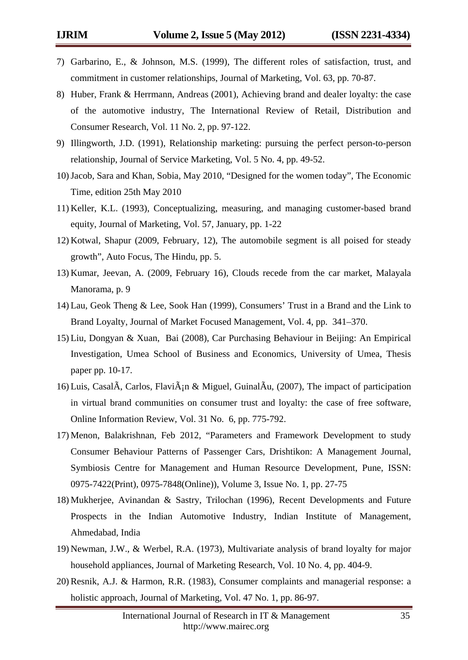- 7) Garbarino, E., & Johnson, M.S. (1999), The different roles of satisfaction, trust, and commitment in customer relationships, Journal of Marketing, Vol. 63, pp. 70-87.
- 8) Huber, Frank & Herrmann, Andreas (2001), Achieving brand and dealer loyalty: the case of the automotive industry, The International Review of Retail, Distribution and Consumer Research, Vol. [11](http://www.informaworld.com/smpp/title~content=t713735234~db=all~tab=issueslist~branches=11#v11) No. [2, p](http://www.informaworld.com/smpp/title~content=g713770587~db=all)p. 97-122.
- 9) Illingworth, J.D. (1991), Relationship marketing: pursuing the perfect person-to-person relationship, Journal of Service Marketing, Vol. 5 No. 4, pp. 49-52.
- 10)Jacob, Sara and Khan, Sobia, May 2010, "Designed for the women today", The Economic Time, edition 25th May 2010
- 11) Keller, K.L. (1993), Conceptualizing, measuring, and managing customer-based brand equity, Journal of Marketing, Vol. 57, January, pp. 1-22
- 12) Kotwal, Shapur (2009, February, 12), The automobile segment is all poised for steady growth", Auto Focus, The Hindu, pp. 5.
- 13) Kumar, Jeevan, A. (2009, February 16), Clouds recede from the car market, Malayala Manorama, p. 9
- 14) Lau, Geok Theng & Lee, Sook Han (1999), Consumers' Trust in a Brand and the Link to Brand Loyalty, Journal of Market Focused Management, Vol. 4, pp. 341–370.
- 15) Liu, Dongyan & Xuan, Bai (2008), Car Purchasing Behaviour in Beijing: An Empirical Investigation, Umea School of Business and Economics, University of Umea, Thesis paper pp. 10-17.
- 16) Luis, Casal $\tilde{A}$ , Carlos, Flavi $\tilde{A}$ ;  $\alpha$  Miguel, Guinal $\tilde{A}$ u, (2007), The impact of participation in virtual brand communities on consumer trust and loyalty: the case of free software, [Online Information Review,](javascript:__doLinkPostBack() Vol. 31 No. 6, pp. 775-792.
- 17) Menon, Balakrishnan, Feb 2012, "Parameters and Framework Development to study Consumer Behaviour Patterns of Passenger Cars, Drishtikon: A Management Journal, Symbiosis Centre for Management and Human Resource Development, Pune, ISSN: 0975-7422(Print), 0975-7848(Online)), Volume 3, Issue No. 1, pp. 27-75
- 18) Mukherjee, Avinandan & Sastry, Trilochan (1996), Recent Developments and Future Prospects in the Indian Automotive Industry, Indian Institute of Management, Ahmedabad, India
- 19) Newman, J.W., & Werbel, R.A. (1973), Multivariate analysis of brand loyalty for major household appliances, Journal of Marketing Research, Vol. 10 No. 4, pp. 404-9.
- 20) Resnik, A.J. & Harmon, R.R. (1983), Consumer complaints and managerial response: a holistic approach, Journal of Marketing, Vol. 47 No. 1, pp. 86-97.